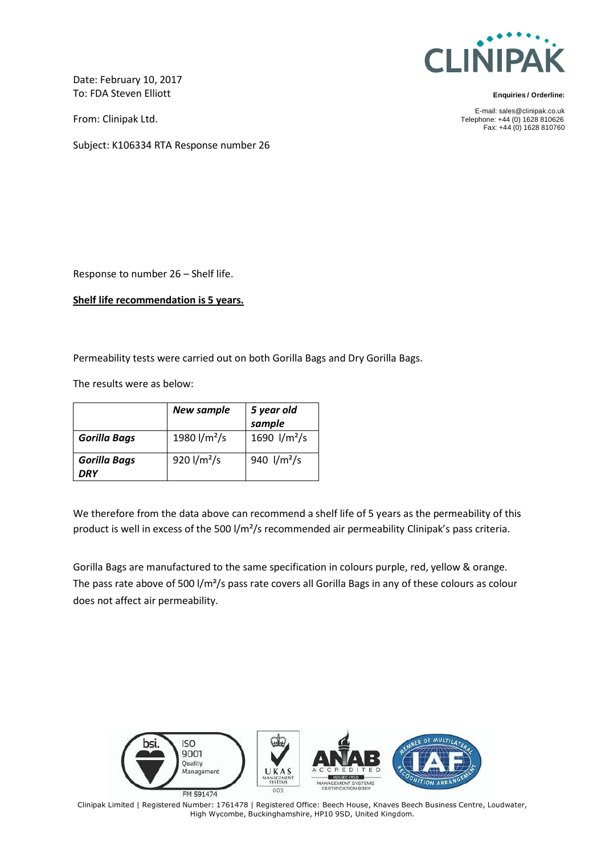

Date: February 10, 2017 To: FDA Steven Elliott

From: Clinipak Ltd.

Subject: K106334 RTA Response number 26

Response to number 26 – Shelf life.

**Shelf life recommendation is 5 years.**

Permeability tests were carried out on both Gorilla Bags and Dry Gorilla Bags.

The results were as below:

|                            | <b>New sample</b> | 5 year old<br>sample |
|----------------------------|-------------------|----------------------|
| <b>Gorilla Bags</b>        | 1980 $1/m^2/s$    | 1690 $1/m^2/s$       |
| <b>Gorilla Bags</b><br>DRY | 920 $1/m^2/s$     | 940 $1/m^2/s$        |

We therefore from the data above can recommend a shelf life of 5 years as the permeability of this product is well in excess of the 500 l/m²/s recommended air permeability Clinipak's pass criteria.

Gorilla Bags are manufactured to the same specification in colours purple, red, yellow & orange. The pass rate above of 500 l/m<sup>2</sup>/s pass rate covers all Gorilla Bags in any of these colours as colour does not affect air permeability.



Clinipak Limited | Registered Number: 1761478 | Registered Office: Beech House, Knaves Beech Business Centre, Loudwater, High Wycombe, Buckinghamshire, HP10 9SD, United Kingdom.

**Enquiries / Orderline:**

E-mail: [sales@clinipak.co.uk](mailto:sales@clinipak.co.uk) Telephone: +44 (0) 1628 810626 Fax: +44 (0) 1628 810760